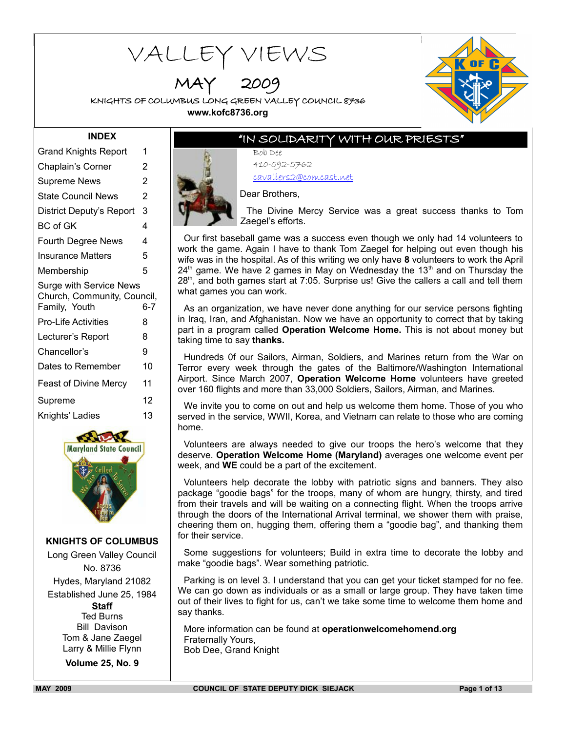# VALLEY VIEWS

MAY 2009

KNIGHTS OF COLUMBUS LONG GREEN VALLEY COUNCIL 8736 **www.kofc8736.org**



## **INDEX**

| <b>Grand Knights Report</b>                  | 1              |
|----------------------------------------------|----------------|
| Chaplain's Corner                            | 2              |
| <b>Supreme News</b>                          | $\overline{2}$ |
| <b>State Council News</b>                    | $\overline{2}$ |
| District Deputy's Report                     | 3              |
| <b>BC</b> of GK                              | 4              |
| Fourth Degree News                           | 4              |
| <b>Insurance Matters</b>                     | 5              |
| Membership                                   | 5              |
| <b>Surge with Service News</b>               |                |
| Church, Community, Council,<br>Family, Youth | $6 - 7$        |
| <b>Pro-Life Activities</b>                   | 8              |
| Lecturer's Report                            | 8              |
| Chancellor's                                 | 9              |
| Dates to Remember                            | 10             |
| <b>Feast of Divine Mercy</b>                 | 11             |
| Supreme                                      | 12             |
| Knights' Ladies                              | 13             |



**KNIGHTS OF COLUMBUS** Long Green Valley Council No. 8736 Hydes, Maryland 21082 Established June 25, 1984 **Staff** Ted Burns Bill Davison Tom & Jane Zaegel Larry & Millie Flynn **Volume 25, No. 9**

"IN SOLIDARITY WITH OUR PRIESTS"

Bob Dee 410-592-5762 cavaliers2@comcast.net



Dear Brothers,

The Divine Mercy Service was a great success thanks to Tom Zaegel's efforts.

Our first baseball game was a success even though we only had 14 volunteers to work the game. Again I have to thank Tom Zaegel for helping out even though his wife was in the hospital. As of this writing we only have **8** volunteers to work the April  $24<sup>th</sup>$  game. We have 2 games in May on Wednesday the 13<sup>th</sup> and on Thursday the  $28<sup>th</sup>$ , and both games start at 7:05. Surprise us! Give the callers a call and tell them what games you can work.

As an organization, we have never done anything for our service persons fighting in Iraq, Iran, and Afghanistan. Now we have an opportunity to correct that by taking part in a program called **Operation Welcome Home.** This is not about money but taking time to say **thanks.**

Hundreds 0f our Sailors, Airman, Soldiers, and Marines return from the War on Terror every week through the gates of the Baltimore/Washington International Airport. Since March 2007, **Operation Welcome Home** volunteers have greeted over 160 flights and more than 33,000 Soldiers, Sailors, Airman, and Marines.

We invite you to come on out and help us welcome them home. Those of you who served in the service, WWII, Korea, and Vietnam can relate to those who are coming home.

Volunteers are always needed to give our troops the hero's welcome that they deserve. **Operation Welcome Home (Maryland)** averages one welcome event per week, and **WE** could be a part of the excitement.

Volunteers help decorate the lobby with patriotic signs and banners. They also package "goodie bags" for the troops, many of whom are hungry, thirsty, and tired from their travels and will be waiting on a connecting flight. When the troops arrive through the doors of the International Arrival terminal, we shower them with praise, cheering them on, hugging them, offering them a "goodie bag", and thanking them for their service.

Some suggestions for volunteers; Build in extra time to decorate the lobby and make "goodie bags". Wear something patriotic.

Parking is on level 3. I understand that you can get your ticket stamped for no fee. We can go down as individuals or as a small or large group. They have taken time out of their lives to fight for us, can't we take some time to welcome them home and say thanks.

More information can be found at **operationwelcomehomend.org**  Fraternally Yours, Bob Dee, Grand Knight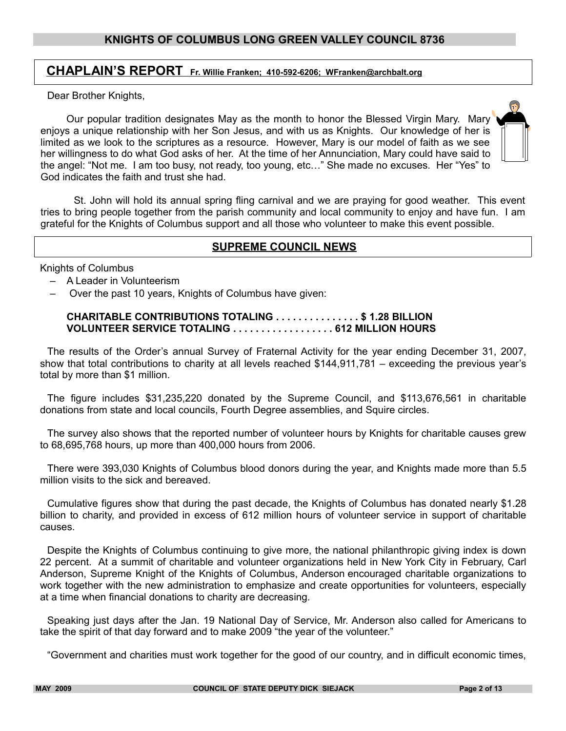# **CHAPLAIN'S REPORT Fr. Willie Franken; 410-592-6206; WFranken@archbalt.org**

Dear Brother Knights,

 Our popular tradition designates May as the month to honor the Blessed Virgin Mary. Mary enjoys a unique relationship with her Son Jesus, and with us as Knights. Our knowledge of her is limited as we look to the scriptures as a resource. However, Mary is our model of faith as we see her willingness to do what God asks of her. At the time of her Annunciation, Mary could have said to the angel: "Not me. I am too busy, not ready, too young, etc…" She made no excuses. Her "Yes" to God indicates the faith and trust she had.

St. John will hold its annual spring fling carnival and we are praying for good weather. This event tries to bring people together from the parish community and local community to enjoy and have fun. I am grateful for the Knights of Columbus support and all those who volunteer to make this event possible.

## **SUPREME COUNCIL NEWS**

Knights of Columbus

- A Leader in Volunteerism
- Over the past 10 years, Knights of Columbus have given:

#### **CHARITABLE CONTRIBUTIONS TOTALING . . . . . . . . . . . . . . . \$ 1.28 BILLION VOLUNTEER SERVICE TOTALING . . . . . . . . . . . . . . . . . . 612 MILLION HOURS**

The results of the Order's annual Survey of Fraternal Activity for the year ending December 31, 2007, show that total contributions to charity at all levels reached \$144,911,781 – exceeding the previous year's total by more than \$1 million.

The figure includes \$31,235,220 donated by the Supreme Council, and \$113,676,561 in charitable donations from state and local councils, Fourth Degree assemblies, and Squire circles.

The survey also shows that the reported number of volunteer hours by Knights for charitable causes grew to 68,695,768 hours, up more than 400,000 hours from 2006.

There were 393,030 Knights of Columbus blood donors during the year, and Knights made more than 5.5 million visits to the sick and bereaved.

Cumulative figures show that during the past decade, the Knights of Columbus has donated nearly \$1.28 billion to charity, and provided in excess of 612 million hours of volunteer service in support of charitable causes.

Despite the Knights of Columbus continuing to give more, the national philanthropic giving index is down 22 percent. At a summit of charitable and volunteer organizations held in New York City in February, Carl Anderson, Supreme Knight of the Knights of Columbus, Anderson encouraged charitable organizations to work together with the new administration to emphasize and create opportunities for volunteers, especially at a time when financial donations to charity are decreasing.

Speaking just days after the Jan. 19 National Day of Service, Mr. Anderson also called for Americans to take the spirit of that day forward and to make 2009 "the year of the volunteer."

"Government and charities must work together for the good of our country, and in difficult economic times,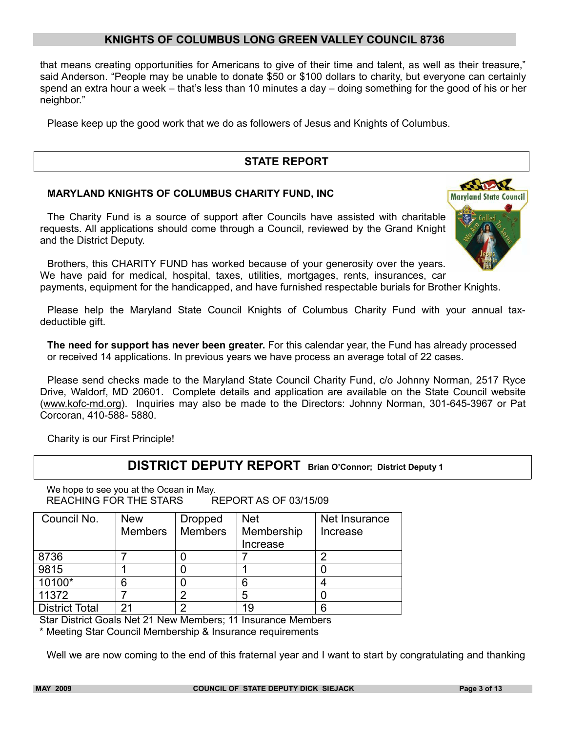that means creating opportunities for Americans to give of their time and talent, as well as their treasure," said Anderson. "People may be unable to donate \$50 or \$100 dollars to charity, but everyone can certainly spend an extra hour a week – that's less than 10 minutes a day – doing something for the good of his or her neighbor."

Please keep up the good work that we do as followers of Jesus and Knights of Columbus.

## **STATE REPORT**

#### **MARYLAND KNIGHTS OF COLUMBUS CHARITY FUND, INC**

The Charity Fund is a source of support after Councils have assisted with charitable requests. All applications should come through a Council, reviewed by the Grand Knight and the District Deputy.



Brothers, this CHARITY FUND has worked because of your generosity over the years. We have paid for medical, hospital, taxes, utilities, mortgages, rents, insurances, car payments, equipment for the handicapped, and have furnished respectable burials for Brother Knights.

Please help the Maryland State Council Knights of Columbus Charity Fund with your annual taxdeductible gift.

**The need for support has never been greater.** For this calendar year, the Fund has already processed or received 14 applications. In previous years we have process an average total of 22 cases.

Please send checks made to the Maryland State Council Charity Fund, c/o Johnny Norman, 2517 Ryce Drive, Waldorf, MD 20601. Complete details and application are available on the State Council website (www.kofc-md.org). Inquiries may also be made to the Directors: Johnny Norman, 301-645-3967 or Pat Corcoran, 410-588- 5880.

Charity is our First Principle!

## **DISTRICT DEPUTY REPORT Brian O'Connor; District Deputy 1**

We hope to see you at the Ocean in May. REACHING FOR THE STARS REPORT AS OF 03/15/09

| Council No.           | <b>New</b>     | <b>Dropped</b> | <b>Net</b> | Net Insurance |
|-----------------------|----------------|----------------|------------|---------------|
|                       | <b>Members</b> | <b>Members</b> | Membership | Increase      |
|                       |                |                | Increase   |               |
| 8736                  |                |                |            |               |
| 9815                  |                |                |            |               |
| 10100*                | 6              |                | 6          |               |
| 11372                 |                | ◠              | 5          |               |
| <b>District Total</b> | 21             |                | 19         |               |

Star District Goals Net 21 New Members; 11 Insurance Members

\* Meeting Star Council Membership & Insurance requirements

Well we are now coming to the end of this fraternal year and I want to start by congratulating and thanking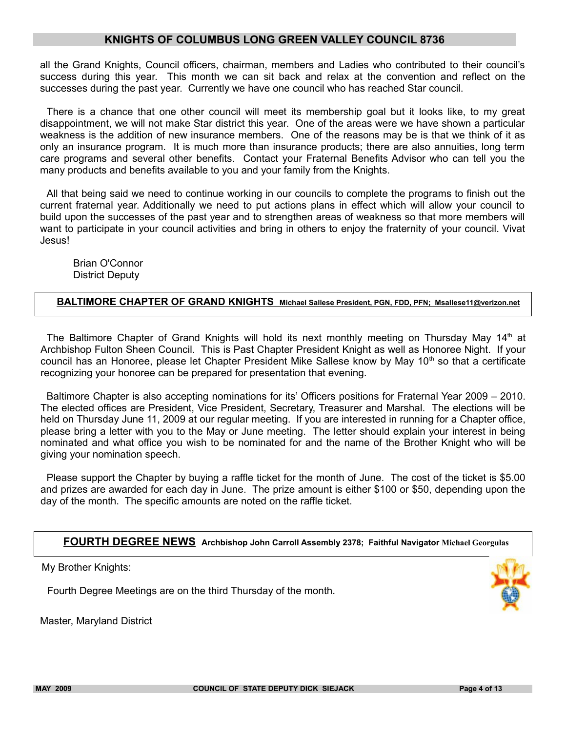all the Grand Knights, Council officers, chairman, members and Ladies who contributed to their council's success during this year. This month we can sit back and relax at the convention and reflect on the successes during the past year. Currently we have one council who has reached Star council.

There is a chance that one other council will meet its membership goal but it looks like, to my great disappointment, we will not make Star district this year. One of the areas were we have shown a particular weakness is the addition of new insurance members. One of the reasons may be is that we think of it as only an insurance program. It is much more than insurance products; there are also annuities, long term care programs and several other benefits. Contact your Fraternal Benefits Advisor who can tell you the many products and benefits available to you and your family from the Knights.

All that being said we need to continue working in our councils to complete the programs to finish out the current fraternal year. Additionally we need to put actions plans in effect which will allow your council to build upon the successes of the past year and to strengthen areas of weakness so that more members will want to participate in your council activities and bring in others to enjoy the fraternity of your council. Vivat Jesus!

Brian O'Connor District Deputy

#### **BALTIMORE CHAPTER OF GRAND KNIGHTS Michael Sallese President, PGN, FDD, PFN; Msallese11@verizon.net**

The Baltimore Chapter of Grand Knights will hold its next monthly meeting on Thursday May  $14<sup>th</sup>$  at Archbishop Fulton Sheen Council. This is Past Chapter President Knight as well as Honoree Night. If your council has an Honoree, please let Chapter President Mike Sallese know by May 10<sup>th</sup> so that a certificate recognizing your honoree can be prepared for presentation that evening.

Baltimore Chapter is also accepting nominations for its' Officers positions for Fraternal Year 2009 – 2010. The elected offices are President, Vice President, Secretary, Treasurer and Marshal. The elections will be held on Thursday June 11, 2009 at our regular meeting. If you are interested in running for a Chapter office, please bring a letter with you to the May or June meeting. The letter should explain your interest in being nominated and what office you wish to be nominated for and the name of the Brother Knight who will be giving your nomination speech.

Please support the Chapter by buying a raffle ticket for the month of June. The cost of the ticket is \$5.00 and prizes are awarded for each day in June. The prize amount is either \$100 or \$50, depending upon the day of the month. The specific amounts are noted on the raffle ticket.

**FOURTH DEGREE NEWS Archbishop John Carroll Assembly 2378; Faithful Navigator Michael Georgulas** 

My Brother Knights:

Fourth Degree Meetings are on the third Thursday of the month.

Master, Maryland District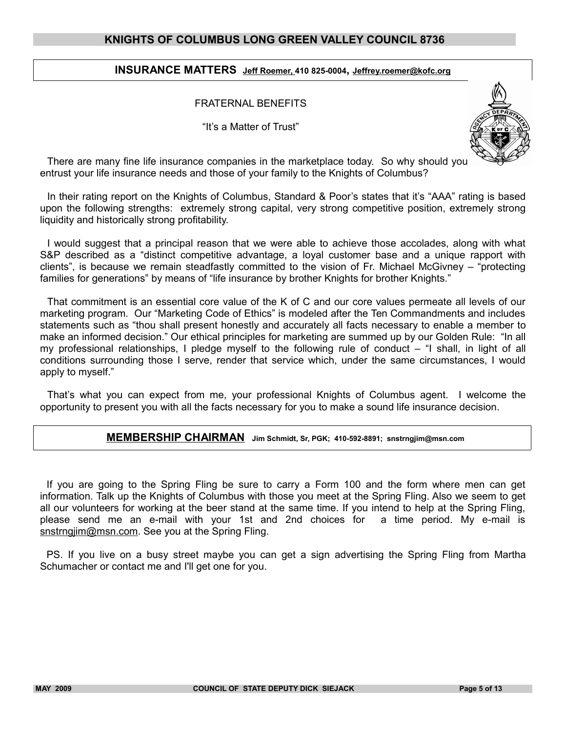#### **INSURANCE MATTERS Jeff Roemer, 410 825-0004, Jeffrey.roemer@kofc.org**

#### FRATERNAL BENEFITS

"It's a Matter of Trust"



There are many fine life insurance companies in the marketplace today. So why should you entrust your life insurance needs and those of your family to the Knights of Columbus?

In their rating report on the Knights of Columbus, Standard & Poor's states that it's "AAA" rating is based upon the following strengths: extremely strong capital, very strong competitive position, extremely strong liquidity and historically strong profitability.

I would suggest that a principal reason that we were able to achieve those accolades, along with what S&P described as a "distinct competitive advantage, a loyal customer base and a unique rapport with clients", is because we remain steadfastly committed to the vision of Fr. Michael McGivney – "protecting families for generations" by means of "life insurance by brother Knights for brother Knights."

That commitment is an essential core value of the K of C and our core values permeate all levels of our marketing program. Our "Marketing Code of Ethics" is modeled after the Ten Commandments and includes statements such as "thou shall present honestly and accurately all facts necessary to enable a member to make an informed decision." Our ethical principles for marketing are summed up by our Golden Rule: "In all my professional relationships, I pledge myself to the following rule of conduct – "I shall, in light of all conditions surrounding those I serve, render that service which, under the same circumstances, I would apply to myself."

That's what you can expect from me, your professional Knights of Columbus agent. I welcome the opportunity to present you with all the facts necessary for you to make a sound life insurance decision.

#### **MEMBERSHIP CHAIRMAN Jim Schmidt, Sr, PGK; 410-592-8891; snstrngjim@msn.com**

If you are going to the Spring Fling be sure to carry a Form 100 and the form where men can get information. Talk up the Knights of Columbus with those you meet at the Spring Fling. Also we seem to get all our volunteers for working at the beer stand at the same time. If you intend to help at the Spring Fling, please send me an e-mail with your 1st and 2nd choices for a time period. My e-mail is snstrngjim@msn.com. See you at the Spring Fling.

PS. If you live on a busy street maybe you can get a sign advertising the Spring Fling from Martha Schumacher or contact me and I'll get one for you.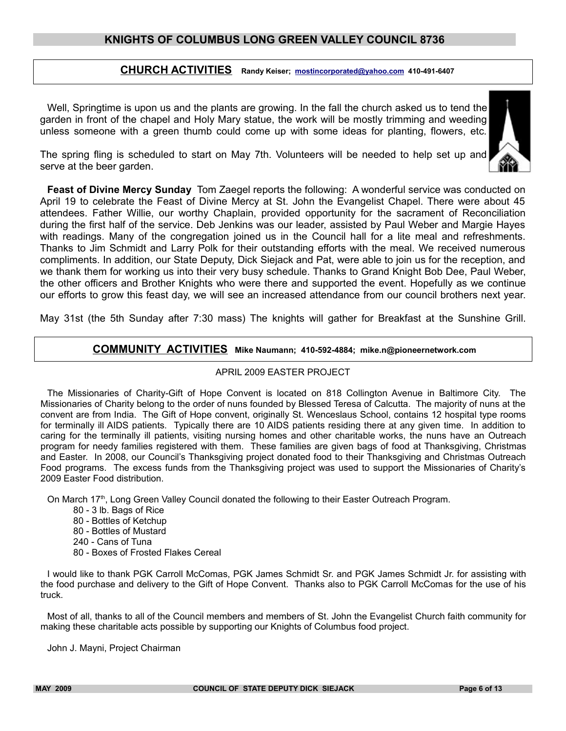## **CHURCH ACTIVITIES Randy Keiser; [mostincorporated@yahoo.com](mailto:mostincorporated@yahoo.com) 410-491-6407**

Well, Springtime is upon us and the plants are growing. In the fall the church asked us to tend the garden in front of the chapel and Holy Mary statue, the work will be mostly trimming and weeding unless someone with a green thumb could come up with some ideas for planting, flowers, etc.



The spring fling is scheduled to start on May 7th. Volunteers will be needed to help set up and serve at the beer garden.

**Feast of Divine Mercy Sunday** Tom Zaegel reports the following: A wonderful service was conducted on April 19 to celebrate the Feast of Divine Mercy at St. John the Evangelist Chapel. There were about 45 attendees. Father Willie, our worthy Chaplain, provided opportunity for the sacrament of Reconciliation during the first half of the service. Deb Jenkins was our leader, assisted by Paul Weber and Margie Hayes with readings. Many of the congregation joined us in the Council hall for a lite meal and refreshments. Thanks to Jim Schmidt and Larry Polk for their outstanding efforts with the meal. We received numerous compliments. In addition, our State Deputy, Dick Siejack and Pat, were able to join us for the reception, and we thank them for working us into their very busy schedule. Thanks to Grand Knight Bob Dee, Paul Weber, the other officers and Brother Knights who were there and supported the event. Hopefully as we continue our efforts to grow this feast day, we will see an increased attendance from our council brothers next year.

May 31st (the 5th Sunday after 7:30 mass) The knights will gather for Breakfast at the Sunshine Grill.

#### **COMMUNITY ACTIVITIES Mike Naumann; 410-592-4884; mike.n@pioneernetwork.com**

#### APRIL 2009 EASTER PROJECT

The Missionaries of Charity-Gift of Hope Convent is located on 818 Collington Avenue in Baltimore City. The Missionaries of Charity belong to the order of nuns founded by Blessed Teresa of Calcutta. The majority of nuns at the convent are from India. The Gift of Hope convent, originally St. Wenceslaus School, contains 12 hospital type rooms for terminally ill AIDS patients. Typically there are 10 AIDS patients residing there at any given time. In addition to caring for the terminally ill patients, visiting nursing homes and other charitable works, the nuns have an Outreach program for needy families registered with them. These families are given bags of food at Thanksgiving, Christmas and Easter. In 2008, our Council's Thanksgiving project donated food to their Thanksgiving and Christmas Outreach Food programs. The excess funds from the Thanksgiving project was used to support the Missionaries of Charity's 2009 Easter Food distribution.

On March  $17<sup>th</sup>$ , Long Green Valley Council donated the following to their Easter Outreach Program.

- 80 3 lb. Bags of Rice 80 - Bottles of Ketchup 80 - Bottles of Mustard
- 240 Cans of Tuna
- 80 Boxes of Frosted Flakes Cereal

I would like to thank PGK Carroll McComas, PGK James Schmidt Sr. and PGK James Schmidt Jr. for assisting with the food purchase and delivery to the Gift of Hope Convent. Thanks also to PGK Carroll McComas for the use of his truck.

Most of all, thanks to all of the Council members and members of St. John the Evangelist Church faith community for making these charitable acts possible by supporting our Knights of Columbus food project.

John J. Mayni, Project Chairman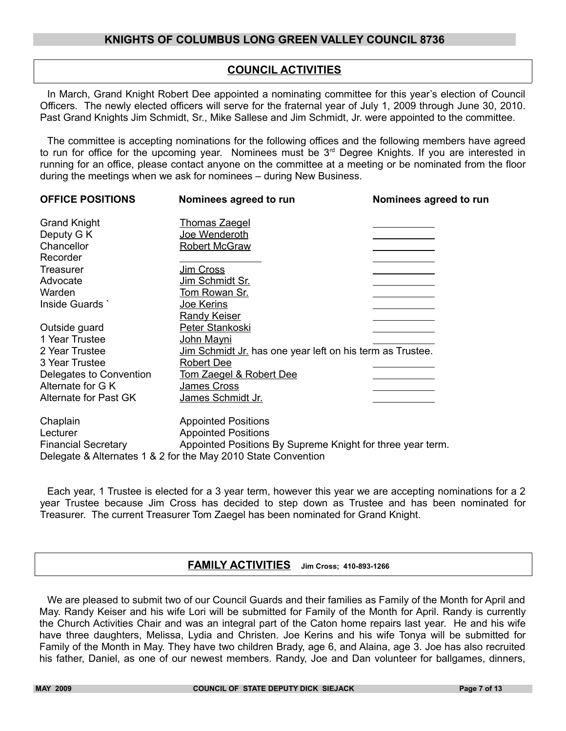## **COUNCIL ACTIVITIES**

In March, Grand Knight Robert Dee appointed a nominating committee for this year's election of Council Officers. The newly elected officers will serve for the fraternal year of July 1, 2009 through June 30, 2010. Past Grand Knights Jim Schmidt, Sr., Mike Sallese and Jim Schmidt, Jr. were appointed to the committee.

The committee is accepting nominations for the following offices and the following members have agreed to run for office for the upcoming year. Nominees must be 3<sup>rd</sup> Degree Knights. If you are interested in running for an office, please contact anyone on the committee at a meeting or be nominated from the floor during the meetings when we ask for nominees – during New Business.

| <b>OFFICE POSITIONS</b>    | Nominees agreed to run                                        | Nominees agreed to run |
|----------------------------|---------------------------------------------------------------|------------------------|
| <b>Grand Knight</b>        | <b>Thomas Zaegel</b>                                          |                        |
| Deputy G K                 | Joe Wenderoth                                                 |                        |
| Chancellor                 | <b>Robert McGraw</b>                                          |                        |
| Recorder                   |                                                               |                        |
| Treasurer                  | Jim Cross                                                     |                        |
| Advocate                   | Jim Schmidt Sr.                                               |                        |
| Warden                     | Tom Rowan Sr.                                                 |                        |
| Inside Guards              | Joe Kerins                                                    |                        |
|                            | Randy Keiser                                                  |                        |
| Outside guard              | Peter Stankoski                                               |                        |
| 1 Year Trustee             | John Mayni                                                    |                        |
| 2 Year Trustee             | Jim Schmidt Jr. has one year left on his term as Trustee.     |                        |
| 3 Year Trustee             | <b>Robert Dee</b>                                             |                        |
| Delegates to Convention    | <u>Tom Zaegel &amp; Robert Dee</u>                            |                        |
| Alternate for G K          | James Cross                                                   |                        |
| Alternate for Past GK      | James Schmidt Jr.                                             |                        |
| Chaplain                   | <b>Appointed Positions</b>                                    |                        |
| Lecturer                   | <b>Appointed Positions</b>                                    |                        |
| <b>Financial Secretary</b> | Appointed Positions By Supreme Knight for three year term.    |                        |
|                            | Delegate & Alternates 1 & 2 for the May 2010 State Convention |                        |

Each year, 1 Trustee is elected for a 3 year term, however this year we are accepting nominations for a 2 year Trustee because Jim Cross has decided to step down as Trustee and has been nominated for Treasurer. The current Treasurer Tom Zaegel has been nominated for Grand Knight.

## **FAMILY ACTIVITIES Jim Cross; 410-893-1266**

We are pleased to submit two of our Council Guards and their families as Family of the Month for April and May. Randy Keiser and his wife Lori will be submitted for Family of the Month for April. Randy is currently the Church Activities Chair and was an integral part of the Caton home repairs last year. He and his wife have three daughters, Melissa, Lydia and Christen. Joe Kerins and his wife Tonya will be submitted for Family of the Month in May. They have two children Brady, age 6, and Alaina, age 3. Joe has also recruited his father, Daniel, as one of our newest members. Randy, Joe and Dan volunteer for ballgames, dinners,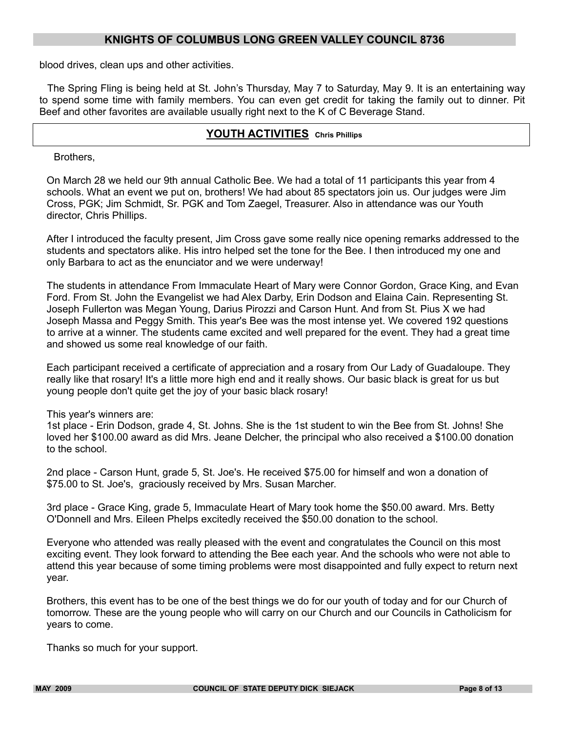blood drives, clean ups and other activities.

The Spring Fling is being held at St. John's Thursday, May 7 to Saturday, May 9. It is an entertaining way to spend some time with family members. You can even get credit for taking the family out to dinner. Pit Beef and other favorites are available usually right next to the K of C Beverage Stand.

## **YOUTH ACTIVITIES Chris Phillips**

Brothers,

On March 28 we held our 9th annual Catholic Bee. We had a total of 11 participants this year from 4 schools. What an event we put on, brothers! We had about 85 spectators join us. Our judges were Jim Cross, PGK; Jim Schmidt, Sr. PGK and Tom Zaegel, Treasurer. Also in attendance was our Youth director, Chris Phillips.

After I introduced the faculty present, Jim Cross gave some really nice opening remarks addressed to the students and spectators alike. His intro helped set the tone for the Bee. I then introduced my one and only Barbara to act as the enunciator and we were underway!

The students in attendance From Immaculate Heart of Mary were Connor Gordon, Grace King, and Evan Ford. From St. John the Evangelist we had Alex Darby, Erin Dodson and Elaina Cain. Representing St. Joseph Fullerton was Megan Young, Darius Pirozzi and Carson Hunt. And from St. Pius X we had Joseph Massa and Peggy Smith. This year's Bee was the most intense yet. We covered 192 questions to arrive at a winner. The students came excited and well prepared for the event. They had a great time and showed us some real knowledge of our faith.

Each participant received a certificate of appreciation and a rosary from Our Lady of Guadaloupe. They really like that rosary! It's a little more high end and it really shows. Our basic black is great for us but young people don't quite get the joy of your basic black rosary!

This year's winners are:

1st place - Erin Dodson, grade 4, St. Johns. She is the 1st student to win the Bee from St. Johns! She loved her \$100.00 award as did Mrs. Jeane Delcher, the principal who also received a \$100.00 donation to the school.

2nd place - Carson Hunt, grade 5, St. Joe's. He received \$75.00 for himself and won a donation of \$75.00 to St. Joe's, graciously received by Mrs. Susan Marcher.

3rd place - Grace King, grade 5, Immaculate Heart of Mary took home the \$50.00 award. Mrs. Betty O'Donnell and Mrs. Eileen Phelps excitedly received the \$50.00 donation to the school.

Everyone who attended was really pleased with the event and congratulates the Council on this most exciting event. They look forward to attending the Bee each year. And the schools who were not able to attend this year because of some timing problems were most disappointed and fully expect to return next year.

Brothers, this event has to be one of the best things we do for our youth of today and for our Church of tomorrow. These are the young people who will carry on our Church and our Councils in Catholicism for years to come.

Thanks so much for your support.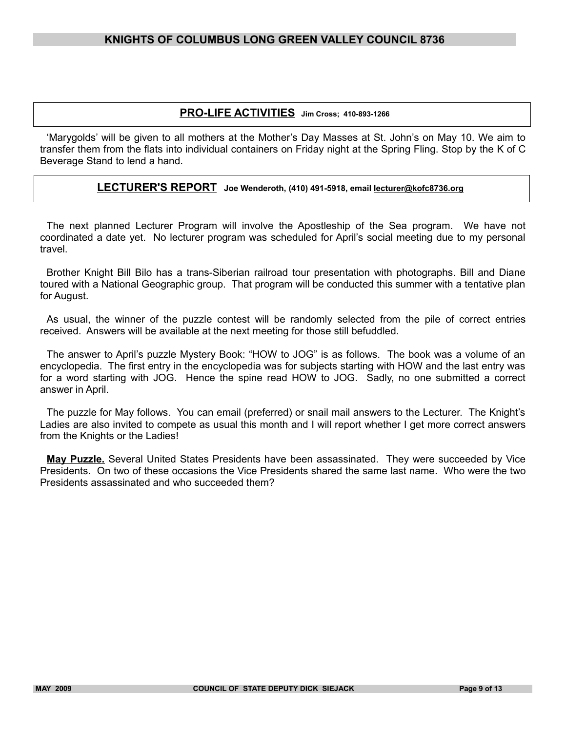## **PRO-LIFE ACTIVITIES Jim Cross; 410-893-1266**

'Marygolds' will be given to all mothers at the Mother's Day Masses at St. John's on May 10. We aim to transfer them from the flats into individual containers on Friday night at the Spring Fling. Stop by the K of C Beverage Stand to lend a hand.

#### **LECTURER'S REPORT Joe Wenderoth, (410) 491-5918, email lecturer@kofc8736.org**

The next planned Lecturer Program will involve the Apostleship of the Sea program. We have not coordinated a date yet. No lecturer program was scheduled for April's social meeting due to my personal travel.

Brother Knight Bill Bilo has a trans-Siberian railroad tour presentation with photographs. Bill and Diane toured with a National Geographic group. That program will be conducted this summer with a tentative plan for August.

As usual, the winner of the puzzle contest will be randomly selected from the pile of correct entries received. Answers will be available at the next meeting for those still befuddled.

The answer to April's puzzle Mystery Book: "HOW to JOG" is as follows. The book was a volume of an encyclopedia. The first entry in the encyclopedia was for subjects starting with HOW and the last entry was for a word starting with JOG. Hence the spine read HOW to JOG. Sadly, no one submitted a correct answer in April.

The puzzle for May follows. You can email (preferred) or snail mail answers to the Lecturer. The Knight's Ladies are also invited to compete as usual this month and I will report whether I get more correct answers from the Knights or the Ladies!

**May Puzzle.** Several United States Presidents have been assassinated. They were succeeded by Vice Presidents. On two of these occasions the Vice Presidents shared the same last name. Who were the two Presidents assassinated and who succeeded them?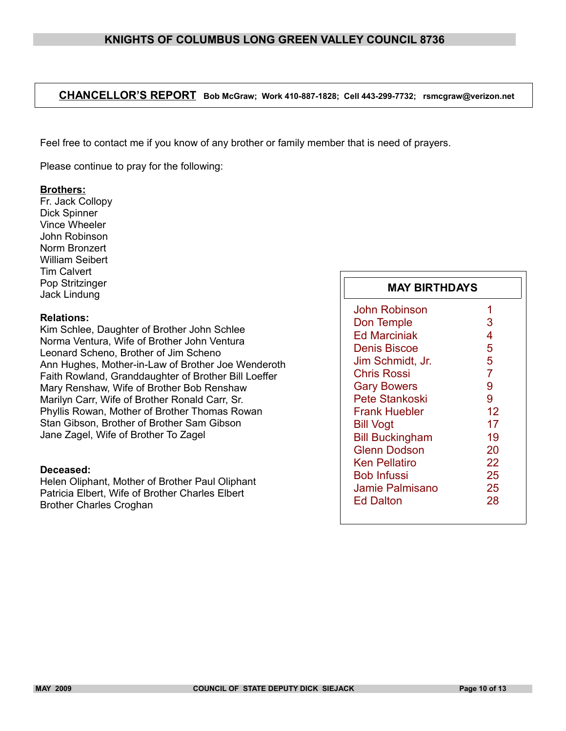## **CHANCELLOR'S REPORT Bob McGraw; Work 410-887-1828; Cell 443-299-7732; rsmcgraw@verizon.net**

Feel free to contact me if you know of any brother or family member that is need of prayers.

Please continue to pray for the following:

#### **Brothers:**

Fr. Jack Collopy Dick Spinner Vince Wheeler John Robinson Norm Bronzert William Seibert Tim Calvert Pop Stritzinger Jack Lindung

#### **Relations:**

Kim Schlee, Daughter of Brother John Schlee Norma Ventura, Wife of Brother John Ventura Leonard Scheno, Brother of Jim Scheno Ann Hughes, Mother-in-Law of Brother Joe Wenderoth Faith Rowland, Granddaughter of Brother Bill Loeffer Mary Renshaw, Wife of Brother Bob Renshaw Marilyn Carr, Wife of Brother Ronald Carr, Sr. Phyllis Rowan, Mother of Brother Thomas Rowan Stan Gibson, Brother of Brother Sam Gibson Jane Zagel, Wife of Brother To Zagel

#### **Deceased:**

Helen Oliphant, Mother of Brother Paul Oliphant Patricia Elbert, Wife of Brother Charles Elbert Brother Charles Croghan

| <b>MAY BIRTHDAYS</b>   |                |  |
|------------------------|----------------|--|
| John Robinson          | 1              |  |
| Don Temple             | 3              |  |
| <b>Ed Marciniak</b>    | 4              |  |
| <b>Denis Biscoe</b>    | 5              |  |
| Jim Schmidt, Jr.       | 5              |  |
| <b>Chris Rossi</b>     | $\overline{7}$ |  |
| <b>Gary Bowers</b>     | 9              |  |
| Pete Stankoski         | 9              |  |
| Frank Huebler          | 12             |  |
| <b>Bill Vogt</b>       | 17             |  |
| <b>Bill Buckingham</b> | 19             |  |
| Glenn Dodson           | 20             |  |
| Ken Pellatiro          | 22             |  |
| <b>Bob Infussi</b>     | 25             |  |
| Jamie Palmisano        | 25             |  |
| Ed Dalton              | 28             |  |
|                        |                |  |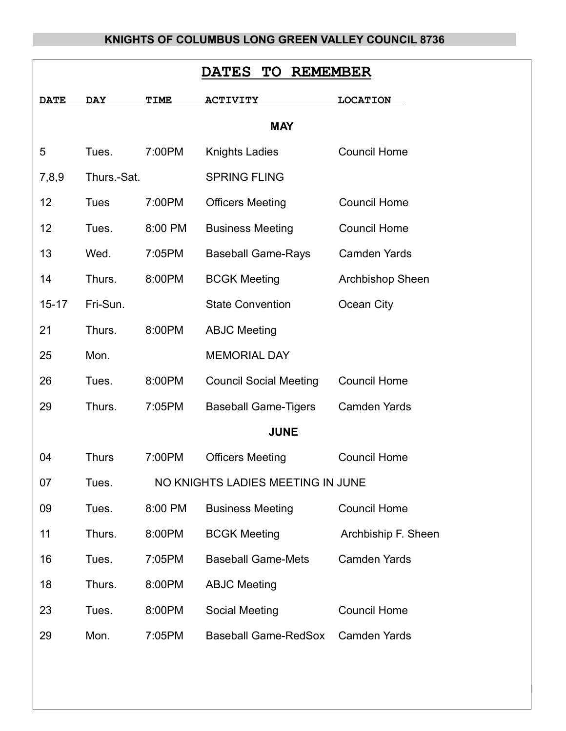| <b>TO</b><br><b>REMEMBER</b><br><b>DATES</b> |              |             |                                   |                         |  |  |
|----------------------------------------------|--------------|-------------|-----------------------------------|-------------------------|--|--|
| <b>DATE</b>                                  | <b>DAY</b>   | <b>TIME</b> | <b>ACTIVITY</b>                   | <b>LOCATION</b>         |  |  |
| <b>MAY</b>                                   |              |             |                                   |                         |  |  |
| 5                                            | Tues.        | 7:00PM      | <b>Knights Ladies</b>             | <b>Council Home</b>     |  |  |
| 7,8,9                                        | Thurs.-Sat.  |             | <b>SPRING FLING</b>               |                         |  |  |
| 12                                           | <b>Tues</b>  | 7:00PM      | <b>Officers Meeting</b>           | <b>Council Home</b>     |  |  |
| 12                                           | Tues.        | 8:00 PM     | <b>Business Meeting</b>           | <b>Council Home</b>     |  |  |
| 13                                           | Wed.         | 7:05PM      | <b>Baseball Game-Rays</b>         | <b>Camden Yards</b>     |  |  |
| 14                                           | Thurs.       | 8:00PM      | <b>BCGK Meeting</b>               | <b>Archbishop Sheen</b> |  |  |
| $15 - 17$                                    | Fri-Sun.     |             | <b>State Convention</b>           | Ocean City              |  |  |
| 21                                           | Thurs.       | 8:00PM      | <b>ABJC Meeting</b>               |                         |  |  |
| 25                                           | Mon.         |             | <b>MEMORIAL DAY</b>               |                         |  |  |
| 26                                           | Tues.        | 8:00PM      | <b>Council Social Meeting</b>     | <b>Council Home</b>     |  |  |
| 29                                           | Thurs.       | 7:05PM      | <b>Baseball Game-Tigers</b>       | <b>Camden Yards</b>     |  |  |
| <b>JUNE</b>                                  |              |             |                                   |                         |  |  |
| 04                                           | <b>Thurs</b> | 7:00PM      | <b>Officers Meeting</b>           | <b>Council Home</b>     |  |  |
| 07                                           | Tues.        |             | NO KNIGHTS LADIES MEETING IN JUNE |                         |  |  |
| 09                                           | Tues.        | 8:00 PM     | <b>Business Meeting</b>           | <b>Council Home</b>     |  |  |
| 11                                           | Thurs.       | 8:00PM      | <b>BCGK Meeting</b>               | Archbiship F. Sheen     |  |  |
| 16                                           | Tues.        | 7:05PM      | <b>Baseball Game-Mets</b>         | <b>Camden Yards</b>     |  |  |
| 18                                           | Thurs.       | 8:00PM      | <b>ABJC Meeting</b>               |                         |  |  |
| 23                                           | Tues.        | 8:00PM      | Social Meeting                    | <b>Council Home</b>     |  |  |
| 29                                           | Mon.         | 7:05PM      | <b>Baseball Game-RedSox</b>       | <b>Camden Yards</b>     |  |  |